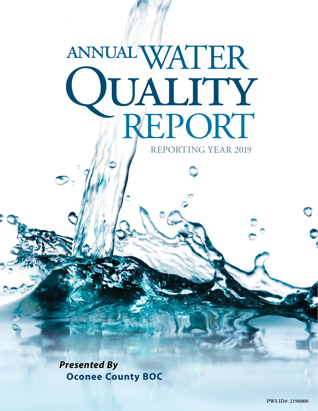# WATER **IUALITY**<br>HREPORT annual REPORTING YEAR 2019

*Presented By* **Oconee County BOC**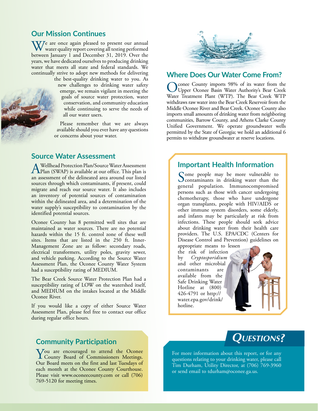### **Our Mission Continues**

 $\mathbf{W}$ <sup>e</sup> are once again pleased to present our annual water quality report covering all testing performed between January 1 and December 31, 2019. Over the years, we have dedicated ourselves to producing drinking water that meets all state and federal standards. We continually strive to adopt new methods for delivering

> the best-quality drinking water to you. As new challenges to drinking water safety emerge, we remain vigilant in meeting the goals of source water protection, water conservation, and community education while continuing to serve the needs of all our water users.

> Please remember that we are always available should you ever have any questions or concerns about your water.

#### **Source Water Assessment**

A Wellhead Protection Plan/Source Water Assessment<br>Plan (SWAP) is available at our office. This plan is<br>an assessment of the delineated area around our litted an assessment of the delineated area around our listed sources through which contaminants, if present, could migrate and reach our source water. It also includes an inventory of potential sources of contamination within the delineated area, and a determination of the water supply's susceptibility to contamination by the identified potential sources.

Oconee County has 8 permitted well sites that are maintained as water sources. There are no potential hazards within the 15 ft. control zone of these well sites. Items that are listed in the 250 ft. Inner-Management Zone are as follow: secondary roads, electrical transformers, utility poles, gravity sewer, and vehicle parking. According to the Source Water Assessment Plan, the Oconee County Water System had a susceptibility rating of MEDIUM.

The Bear Creek Source Water Protection Plan had a susceptibility rating of LOW on the watershed itself, and MEDIUM on the intakes located at the Middle Oconee River.

If you would like a copy of either Source Water Assessment Plan, please feel free to contact our office during regular office hours.

#### **Community Participation**

You are encouraged to attend the Oconee County Board of Commissioners Meetings. Our Board meets on the first and last Tuesdays of each month at the Oconee County Courthouse. Please visit [www.oconeecounty.com](http://www.oconeecounty.com) or call (706) 769-5120 for meeting times.



## **Where Does Our Water Come From?**

Oconee County imports 98% of its water from the Upper Oconee Basin Water Authority's Bear Creek Water Treatment Plant (WTP). The Bear Creek WTP withdraws raw water into the Bear Creek Reservoir from the Middle Oconee River and Bear Creek. Oconee County also imports small amounts of drinking water from neighboring communities, Barrow County, and Athens Clarke County Unified Government. We operate groundwater wells permitted by the State of Georgia; we hold an additional 6 permits to withdraw groundwater at reserve locations.

#### **Important Health Information**

Some people may be more vulnerable to<br>
contaminants in drinking water than the<br>
contain a provided by the contained general population. Immunocompromised persons such as those with cancer undergoing chemotherapy, those who have undergone organ transplants, people with HIV/AIDS or other immune system disorders, some elderly, and infants may be particularly at risk from infections. These people should seek advice about drinking water from their health care providers. The U.S. EPA/CDC (Centers for Disease Control and Prevention) guidelines on appropriate means to lessen

the risk of infection by *Cryptosporidium* and other microbial contaminants are available from the Safe Drinking Water Hotline at (800) 426-4791 or [http://](http://water.epa.gov/drink/hotline) [water.epa.gov/drink/](http://water.epa.gov/drink/hotline) [hotline](http://water.epa.gov/drink/hotline).



For more information about this report, or for any questions relating to your drinking water, please call Tim Durham, Utility Director, at (706) 769-3960 or send email to [tdurham@oconee.ga.us.](mailto:tdurham@oconee.ga.us)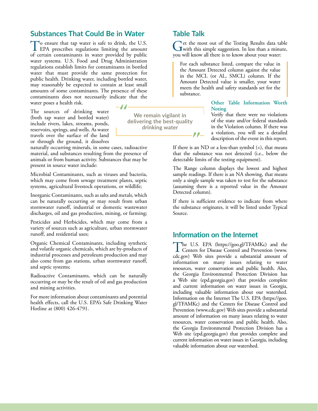## **Substances That Could Be in Water**

To ensure that tap water is safe to drink, the U.S.<br>EPA prescribes regulations limiting the amount of certain contaminants in water provided by public water systems. U.S. Food and Drug Administration regulations establish limits for contaminants in bottled water that must provide the same protection for public health. Drinking water, including bottled water, may reasonably be expected to contain at least small amounts of some contaminants. The presence of these contaminants does not necessarily indicate that the water poses a health risk.  $-J$ 

The sources of drinking water (both tap water and bottled water) include rivers, lakes, streams, ponds, reservoirs, springs, and wells. As water travels over the surface of the land or through the ground, it dissolves

naturally occurring minerals, in some cases, radioactive material, and substances resulting from the presence of animals or from human activity. Substances that may be present in source water include:

Microbial Contaminants, such as viruses and bacteria, which may come from sewage treatment plants, septic systems, agricultural livestock operations, or wildlife;

Inorganic Contaminants, such as salts and metals, which can be naturally occurring or may result from urban stormwater runoff, industrial or domestic wastewater discharges, oil and gas production, mining, or farming;

Pesticides and Herbicides, which may come from a variety of sources such as agriculture, urban stormwater runoff, and residential uses;

Organic Chemical Contaminants, including synthetic and volatile organic chemicals, which are by-products of industrial processes and petroleum production and may also come from gas stations, urban stormwater runoff, and septic systems;

Radioactive Contaminants, which can be naturally occurring or may be the result of oil and gas production and mining activities.

For more information about contaminants and potential health effects, call the U.S. EPA's Safe Drinking Water Hotline at (800) 426-4791.

**We remain vigilant in delivering the best-quality drinking water**

## **Table Talk**

Get the most out of the Testing Results data table<br>with this simple suggestion. In less than a minute,<br>we will know all these is to know the surface we were you will know all there is to know about your water:

For each substance listed, compare the value in the Amount Detected column against the value in the MCL (or AL, SMCL) column. If the Amount Detected value is smaller, your water meets the health and safety standards set for the substance.

> **Other Table Information Worth Noting**

> Verify that there were no violations of the state and/or federal standards in the Violation column. If there was a violation, you will see a detailed description of the event in this report.

If there is an ND or a less-than symbol  $(\le)$ , that means that the substance was not detected (i.e., below the detectable limits of the testing equipment).

The Range column displays the lowest and highest sample readings. If there is an NA showing, that means only a single sample was taken to test for the substance (assuming there is a reported value in the Amount Detected column).

If there is sufficient evidence to indicate from where the substance originates, it will be listed under Typical Source.

# **Information on the Internet**

The U.S. EPA [\(https://goo.gl/TFAMKc\)](https://goo.gl/TFAMKc) and the Centers for Disease Control and Prevention (www. [cdc.gov](http://www.cdc.gov)) Web sites provide a substantial amount of information on many issues relating to water resources, water conservation and public health. Also, the Georgia Environmental Protection Division has a Web site [\(epd.georgia.gov](http://epd.georgia.gov)) that provides complete and current information on water issues in Georgia, including valuable information about our watershed. Information on the Internet The U.S. EPA [\(https://goo.](https://goo.gl/TFAMKc) [gl/TFAMKc](https://goo.gl/TFAMKc)) and the Centers for Disease Control and Prevention [\(www.cdc.gov\)](http://www.cdc.gov) Web sites provide a substantial amount of information on many issues relating to water resources, water conservation and public health. Also, the Georgia Environmental Protection Division has a Web site [\(epd.georgia.gov\)](http://epd.georgia.gov) that provides complete and current information on water issues in Georgia, including valuable information about our watershed.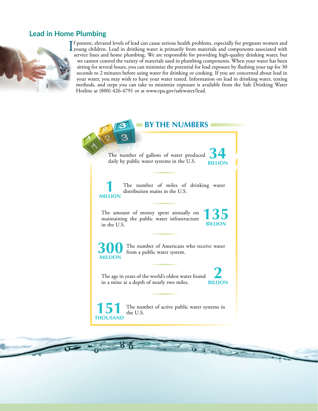# **Lead in Home Plumbing**



If present, elevated levels of lead can cause serious health problems, especially for pregnant women and<br>young children. Lead in drinking water is primarily from materials and components associated with<br>generics lines and young children. Lead in drinking water is primarily from materials and components associated with service lines and home plumbing. We are responsible for providing high-quality drinking water, but we cannot control the variety of materials used in plumbing components. When your water has been sitting for several hours, you can minimize the potential for lead exposure by flushing your tap for 30 seconds to 2 minutes before using water for drinking or cooking. If you are concerned about lead in your water, you may wish to have your water tested. Information on lead in drinking water, testing methods, and steps you can take to minimize exposure is available from the Safe Drinking Water Hotline at (800) 426-4791 or at [www.epa.gov/safewater/lead.](http://www.epa.gov/safewater/lead)

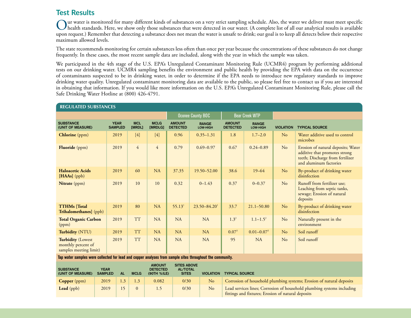# **Test Results**

Our water is monitored for many different kinds of substances on a very strict sampling schedule. Also, the water we deliver must meet specific<br>health standards. Here, we show only those substances that were detected in ou upon request.) Remember that detecting a substance does not mean the water is unsafe to drink; our goal is to keep all detects below their respective maximum allowed levels.

The state recommends monitoring for certain substances less often than once per year because the concentrations of these substances do not change frequently. In these cases, the most recent sample data are included, along with the year in which the sample was taken.

We participated in the 4th stage of the U.S. EPA's Unregulated Contaminant Monitoring Rule (UCMR4) program by performing additional tests on our drinking water. UCMR4 sampling benefits the environment and public health by providing the EPA with data on the occurrence of contaminants suspected to be in drinking water, in order to determine if the EPA needs to introduce new regulatory standards to improve drinking water quality. Unregulated contaminant monitoring data are available to the public, so please feel free to contact us if you are interested in obtaining that information. If you would like more information on the U.S. EPA's Unregulated Contaminant Monitoring Rule, please call the Safe Drinking Water Hotline at (800) 426-4791.

| <b>REGULATED SUBSTANCES</b>                                                                                                                                                                                                                       |                               |                      |                        |                                  |                              |                                  |                          |                  |                                                                                                                                   |  |  |  |
|---------------------------------------------------------------------------------------------------------------------------------------------------------------------------------------------------------------------------------------------------|-------------------------------|----------------------|------------------------|----------------------------------|------------------------------|----------------------------------|--------------------------|------------------|-----------------------------------------------------------------------------------------------------------------------------------|--|--|--|
|                                                                                                                                                                                                                                                   |                               |                      |                        |                                  | <b>Oconee County BOC</b>     | <b>Bear Creek WTP</b>            |                          |                  |                                                                                                                                   |  |  |  |
| <b>SUBSTANCE</b><br>(UNIT OF MEASURE)                                                                                                                                                                                                             | <b>YEAR</b><br><b>SAMPLED</b> | <b>MCL</b><br>[MRDL] | <b>MCLG</b><br>[MRDLG] | <b>AMOUNT</b><br><b>DETECTED</b> | <b>RANGE</b><br>LOW-HIGH     | <b>AMOUNT</b><br><b>DETECTED</b> | <b>RANGE</b><br>LOW-HIGH | <b>VIOLATION</b> | <b>TYPICAL SOURCE</b>                                                                                                             |  |  |  |
| <b>Chlorine</b> (ppm)                                                                                                                                                                                                                             | 2019                          | $[4]$                | $[4]$                  | 0.96                             | $0.35 - 1.31$                | 1.8                              | $1.7 - 2.0$              | N <sub>o</sub>   | Water additive used to control<br>microbes                                                                                        |  |  |  |
| <b>Fluoride</b> (ppm)                                                                                                                                                                                                                             | 2019                          | $\overline{4}$       | $\overline{4}$         | 0.79                             | $0.69 - 0.97$                | 0.67                             | $0.24 - 0.89$            | No               | Erosion of natural deposits; Water<br>additive that promotes strong<br>teeth; Discharge from fertilizer<br>and aluminum factories |  |  |  |
| <b>Haloacetic Acids</b><br>[HAAs] (ppb)                                                                                                                                                                                                           | 2019                          | 60                   | NA                     | 37.35                            | 19.50-52.00                  | 38.6                             | $19 - 64$                | No               | By-product of drinking water<br>disinfection                                                                                      |  |  |  |
| Nitrate (ppm)                                                                                                                                                                                                                                     | 2019                          | 10                   | 10                     | 0.32                             | $0 - 1.43$                   | 0.37                             | $0 - 0.37$               | N <sub>o</sub>   | Runoff from fertilizer use;<br>Leaching from septic tanks,<br>sewage; Erosion of natural<br>deposits                              |  |  |  |
| <b>TTHMs</b> [Total<br>Trihalomethanes] (ppb)                                                                                                                                                                                                     | 2019                          | 80                   | NA                     | 55.13 <sup>1</sup>               | $23.50 - 84.20$ <sup>1</sup> | 33.7                             | $21.1 - 50.80$           | No               | By-product of drinking water<br>disinfection                                                                                      |  |  |  |
| <b>Total Organic Carbon</b><br>(ppm)                                                                                                                                                                                                              | 2019                          | <b>TT</b>            | NA                     | <b>NA</b>                        | <b>NA</b>                    | $1.3^{2}$                        | $1.1 - 1.5^2$            | N <sub>o</sub>   | Naturally present in the<br>environment                                                                                           |  |  |  |
| Turbidity (NTU)                                                                                                                                                                                                                                   | 2019                          | <b>TT</b>            | NA                     | <b>NA</b>                        | <b>NA</b>                    | $0.07^{3}$                       | $0.01 - 0.073$           | No               | Soil runoff                                                                                                                       |  |  |  |
| <b>Turbidity (Lowest</b><br>monthly percent of<br>samples meeting limit)                                                                                                                                                                          | 2019                          | <b>TT</b>            | <b>NA</b>              | <b>NA</b>                        | <b>NA</b>                    | 95                               | NA                       | No               | Soil runoff                                                                                                                       |  |  |  |
| Tap water samples were collected for lead and copper analyses from sample sites throughout the community.                                                                                                                                         |                               |                      |                        |                                  |                              |                                  |                          |                  |                                                                                                                                   |  |  |  |
| <b>SITES ABOVE</b><br><b>AMOUNT</b><br><b>SUBSTANCE</b><br><b>YEAR</b><br><b>DETECTED</b><br><b>AL/TOTAL</b><br><b>SAMPLED</b><br><b>SITES</b><br><b>VIOLATION TYPICAL SOURCE</b><br>(UNIT OF MEASURE)<br><b>AL</b><br><b>MCLG</b><br>(90TH %ILE) |                               |                      |                        |                                  |                              |                                  |                          |                  |                                                                                                                                   |  |  |  |

**SAMPLED AL MCLG (90TH %ILE) SITES VIOLATION TYPICAL SOURCE Copper** (ppm) 2019 1.3 1.3 0.082 0/30 No Corrosion of household plumbing systems; Erosion of natural deposits **Lead** (ppb) 2019 15 0 1.5 0/30 No Lead services lines; Corrosion of household plumbing systems including

fittings and fixtures; Erosion of natural deposits